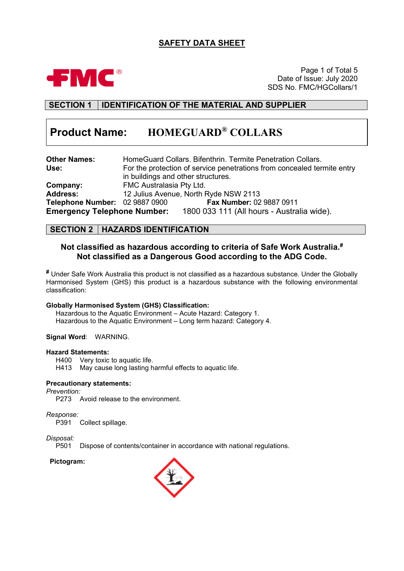# **SAFETY DATA SHEET**



Page 1 of Total 5 Date of Issue: July 2020 SDS No. FMC/HGCollars/1

# **SECTION 1 IDENTIFICATION OF THE MATERIAL AND SUPPLIER**

# **Product Name: HOMEGUARD® COLLARS**

| <b>Other Names:</b>                |                                    | HomeGuard Collars. Bifenthrin. Termite Penetration Collars.             |
|------------------------------------|------------------------------------|-------------------------------------------------------------------------|
| Use:                               |                                    | For the protection of service penetrations from concealed termite entry |
|                                    | in buildings and other structures. |                                                                         |
| Company:                           | FMC Australasia Pty Ltd.           |                                                                         |
| <b>Address:</b>                    |                                    | 12 Julius Avenue, North Ryde NSW 2113                                   |
| Telephone Number: 02 9887 0900     |                                    | Fax Number: 02 9887 0911                                                |
| <b>Emergency Telephone Number:</b> |                                    | 1800 033 111 (All hours - Australia wide).                              |

### **SECTION 2 HAZARDS IDENTIFICATION**

### **Not classified as hazardous according to criteria of Safe Work Australia. # Not classified as a Dangerous Good according to the ADG Code.**

**#** Under Safe Work Australia this product is not classified as a hazardous substance. Under the Globally Harmonised System (GHS) this product is a hazardous substance with the following environmental classification:

#### **Globally Harmonised System (GHS) Classification:**

Hazardous to the Aquatic Environment – Acute Hazard: Category 1. Hazardous to the Aquatic Environment – Long term hazard: Category 4.

#### **Signal Word**: WARNING.

#### **Hazard Statements:**

H400 Very toxic to aquatic life.

H413 May cause long lasting harmful effects to aquatic life.

#### **Precautionary statements:**

*Prevention:*

P273 Avoid release to the environment.

*Response:*

P391 Collect spillage.

*Disposal:*

P501 Dispose of contents/container in accordance with national regulations.

#### **Pictogram:**

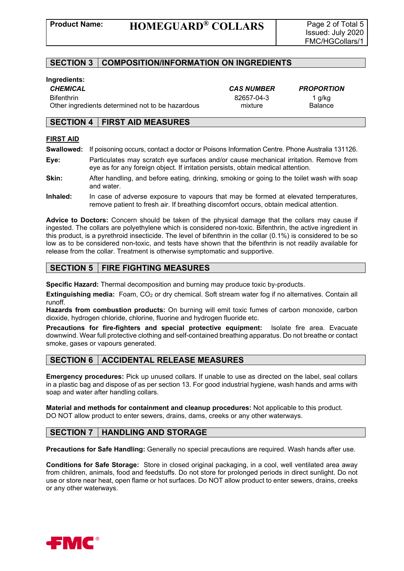### **SECTION 3 COMPOSITION/INFORMATION ON INGREDIENTS**

#### **Ingredients:**

Bifenthrin 82657-04-3 1 g/kg Other ingredients determined not to be hazardous mixture mixture Balance

*CHEMICAL CAS NUMBER PROPORTION*

### **SECTION 4 FIRST AID MEASURES**

#### **FIRST AID**

- **Swallowed:** If poisoning occurs, contact a doctor or Poisons Information Centre. Phone Australia 131126.
- **Eye:** Particulates may scratch eye surfaces and/or cause mechanical irritation. Remove from eye as for any foreign object. If irritation persists, obtain medical attention.
- **Skin:** After handling, and before eating, drinking, smoking or going to the toilet wash with soap and water.
- **Inhaled:** In case of adverse exposure to vapours that may be formed at elevated temperatures, remove patient to fresh air. If breathing discomfort occurs, obtain medical attention.

**Advice to Doctors:** Concern should be taken of the physical damage that the collars may cause if ingested. The collars are polyethylene which is considered non-toxic. Bifenthrin, the active ingredient in this product, is a pyrethroid insecticide. The level of bifenthrin in the collar (0.1%) is considered to be so low as to be considered non-toxic, and tests have shown that the bifenthrin is not readily available for release from the collar. Treatment is otherwise symptomatic and supportive.

### **SECTION 5 FIRE FIGHTING MEASURES**

**Specific Hazard:** Thermal decomposition and burning may produce toxic by-products.

**Extinguishing media:** Foam, CO<sub>2</sub> or dry chemical. Soft stream water fog if no alternatives. Contain all runoff.

**Hazards from combustion products:** On burning will emit toxic fumes of carbon monoxide, carbon dioxide, hydrogen chloride, chlorine, fluorine and hydrogen fluoride etc.

**Precautions for fire-fighters and special protective equipment:** Isolate fire area. Evacuate downwind. Wear full protective clothing and self-contained breathing apparatus. Do not breathe or contact smoke, gases or vapours generated.

### **SECTION 6 ACCIDENTAL RELEASE MEASURES**

**Emergency procedures:** Pick up unused collars. If unable to use as directed on the label, seal collars in a plastic bag and dispose of as per section 13. For good industrial hygiene, wash hands and arms with soap and water after handling collars.

**Material and methods for containment and cleanup procedures:** Not applicable to this product. DO NOT allow product to enter sewers, drains, dams, creeks or any other waterways.

### **SECTION 7 HANDLING AND STORAGE**

**Precautions for Safe Handling:** Generally no special precautions are required. Wash hands after use.

**Conditions for Safe Storage:** Store in closed original packaging, in a cool, well ventilated area away from children, animals, food and feedstuffs. Do not store for prolonged periods in direct sunlight. Do not use or store near heat, open flame or hot surfaces. Do NOT allow product to enter sewers, drains, creeks or any other waterways.

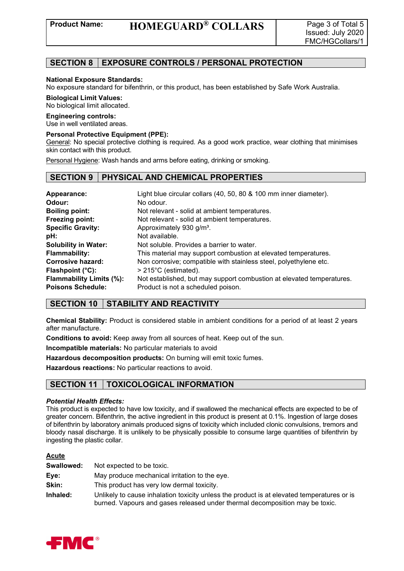## **SECTION 8 EXPOSURE CONTROLS / PERSONAL PROTECTION**

#### **National Exposure Standards:**

No exposure standard for bifenthrin, or this product, has been established by Safe Work Australia.

#### **Biological Limit Values:**

No biological limit allocated.

#### **Engineering controls:**

Use in well ventilated areas.

#### **Personal Protective Equipment (PPE):**

General: No special protective clothing is required. As a good work practice, wear clothing that minimises skin contact with this product.

Personal Hygiene: Wash hands and arms before eating, drinking or smoking.

### **SECTION 9 PHYSICAL AND CHEMICAL PROPERTIES**

| Appearance:                 | Light blue circular collars (40, 50, 80 & 100 mm inner diameter).     |
|-----------------------------|-----------------------------------------------------------------------|
| Odour:                      | No odour.                                                             |
| <b>Boiling point:</b>       | Not relevant - solid at ambient temperatures.                         |
| Freezing point:             | Not relevant - solid at ambient temperatures.                         |
| <b>Specific Gravity:</b>    | Approximately 930 g/m <sup>3</sup> .                                  |
| pH:                         | Not available.                                                        |
| <b>Solubility in Water:</b> | Not soluble. Provides a barrier to water.                             |
| <b>Flammability:</b>        | This material may support combustion at elevated temperatures.        |
| <b>Corrosive hazard:</b>    | Non corrosive; compatible with stainless steel, polyethylene etc.     |
| Flashpoint $(^{\circ}C)$ :  | $>215^{\circ}$ C (estimated).                                         |
| Flammability Limits (%):    | Not established, but may support combustion at elevated temperatures. |
| <b>Poisons Schedule:</b>    | Product is not a scheduled poison.                                    |

### **SECTION 10 STABILITY AND REACTIVITY**

**Chemical Stability:** Product is considered stable in ambient conditions for a period of at least 2 years after manufacture.

**Conditions to avoid:** Keep away from all sources of heat. Keep out of the sun.

**Incompatible materials:** No particular materials to avoid

**Hazardous decomposition products:** On burning will emit toxic fumes.

**Hazardous reactions:** No particular reactions to avoid.

### **SECTION 11 TOXICOLOGICAL INFORMATION**

#### *Potential Health Effects:*

This product is expected to have low toxicity, and if swallowed the mechanical effects are expected to be of greater concern. Bifenthrin, the active ingredient in this product is present at 0.1%. Ingestion of large doses of bifenthrin by laboratory animals produced signs of toxicity which included clonic convulsions, tremors and bloody nasal discharge. It is unlikely to be physically possible to consume large quantities of bifenthrin by ingesting the plastic collar.

#### **Acute**

| Swallowed: | Not expected to be toxic.                                                                                                                                                  |
|------------|----------------------------------------------------------------------------------------------------------------------------------------------------------------------------|
| Eye:       | May produce mechanical irritation to the eye.                                                                                                                              |
| Skin:      | This product has very low dermal toxicity.                                                                                                                                 |
| Inhaled:   | Unlikely to cause inhalation toxicity unless the product is at elevated temperatures or is<br>burned. Vapours and gases released under thermal decomposition may be toxic. |

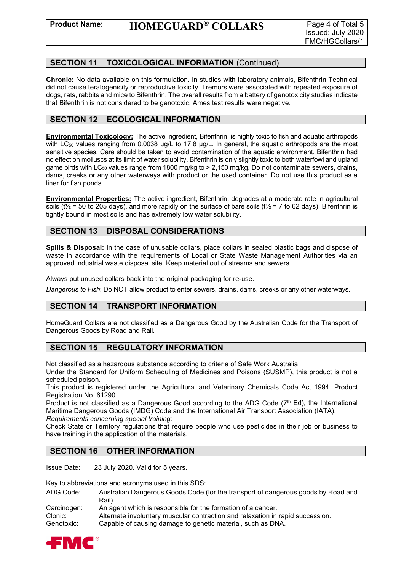### **SECTION 11 TOXICOLOGICAL INFORMATION** (Continued)

**Chronic:** No data available on this formulation. In studies with laboratory animals, Bifenthrin Technical did not cause teratogenicity or reproductive toxicity. Tremors were associated with repeated exposure of dogs, rats, rabbits and mice to Bifenthrin. The overall results from a battery of genotoxicity studies indicate that Bifenthrin is not considered to be genotoxic. Ames test results were negative.

# **SECTION 12 | ECOLOGICAL INFORMATION**

**Environmental Toxicology:** The active ingredient, Bifenthrin, is highly toxic to fish and aquatic arthropods with LC<sub>50</sub> values ranging from 0.0038  $\mu$ g/L to 17.8  $\mu$ g/L. In general, the aquatic arthropods are the most sensitive species. Care should be taken to avoid contamination of the aquatic environment. Bifenthrin had no effect on molluscs at its limit of water solubility. Bifenthrin is only slightly toxic to both waterfowl and upland game birds with LC<sub>50</sub> values range from 1800 mg/kg to  $> 2,150$  mg/kg. Do not contaminate sewers, drains, dams, creeks or any other waterways with product or the used container. Do not use this product as a liner for fish ponds.

**Environmental Properties:** The active ingredient, Bifenthrin, degrades at a moderate rate in agricultural soils ( $t\frac{1}{2}$  = 50 to 205 days), and more rapidly on the surface of bare soils ( $t\frac{1}{2}$  = 7 to 62 days). Bifenthrin is tightly bound in most soils and has extremely low water solubility.

# **SECTION 13 DISPOSAL CONSIDERATIONS**

**Spills & Disposal:** In the case of unusable collars, place collars in sealed plastic bags and dispose of waste in accordance with the requirements of Local or State Waste Management Authorities via an approved industrial waste disposal site. Keep material out of streams and sewers.

Always put unused collars back into the original packaging for re-use.

*Dangerous to Fish*: Do NOT allow product to enter sewers, drains, dams, creeks or any other waterways.

### **SECTION 14 TRANSPORT INFORMATION**

HomeGuard Collars are not classified as a Dangerous Good by the Australian Code for the Transport of Dangerous Goods by Road and Rail.

### **SECTION 15 REGULATORY INFORMATION**

Not classified as a hazardous substance according to criteria of Safe Work Australia.

Under the Standard for Uniform Scheduling of Medicines and Poisons (SUSMP), this product is not a scheduled poison.

This product is registered under the Agricultural and Veterinary Chemicals Code Act 1994. Product Registration No. 61290.

Product is not classified as a Dangerous Good according to the ADG Code  $(7<sup>th</sup> Ed)$ , the International Maritime Dangerous Goods (IMDG) Code and the International Air Transport Association (IATA). *Requirements concerning special training:*

Check State or Territory regulations that require people who use pesticides in their job or business to have training in the application of the materials.

### **SECTION 16 OTHER INFORMATION**

Issue Date: 23 July 2020. Valid for 5 years.

Key to abbreviations and acronyms used in this SDS:

ADG Code: Australian Dangerous Goods Code (for the transport of dangerous goods by Road and Rail). Carcinogen: An agent which is responsible for the formation of a cancer.

Clonic: Alternate involuntary muscular contraction and relaxation in rapid succession.<br>Genotoxic: Capable of causing damage to genetic material, such as DNA. Capable of causing damage to genetic material, such as DNA.